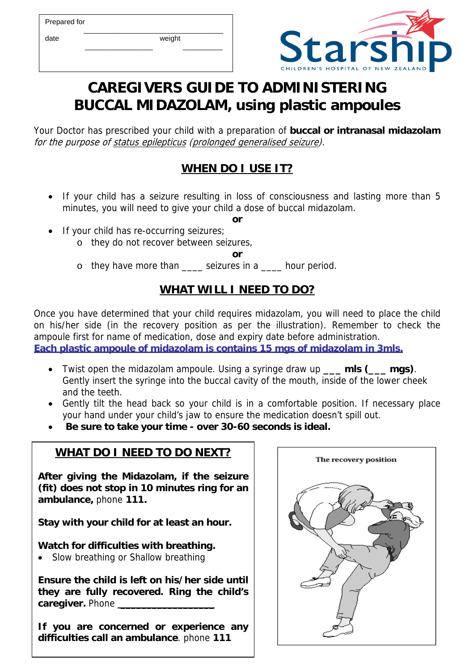Prepared for

 $\frac{1}{\sqrt{2}}$  ,  $\frac{1}{\sqrt{2}}$  ,  $\frac{1}{\sqrt{2}}$  ,  $\frac{1}{\sqrt{2}}$  ,  $\frac{1}{\sqrt{2}}$  ,  $\frac{1}{\sqrt{2}}$  ,  $\frac{1}{\sqrt{2}}$  ,  $\frac{1}{\sqrt{2}}$  ,  $\frac{1}{\sqrt{2}}$  ,  $\frac{1}{\sqrt{2}}$  ,  $\frac{1}{\sqrt{2}}$  ,  $\frac{1}{\sqrt{2}}$  ,  $\frac{1}{\sqrt{2}}$  ,  $\frac{1}{\sqrt{2}}$  ,  $\frac{1}{\sqrt{2}}$ 

date weight  $\frac{1}{2}$  ,  $\frac{1}{2}$  ,  $\frac{1}{2}$  ,  $\frac{1}{2}$  ,  $\frac{1}{2}$  ,  $\frac{1}{2}$  ,  $\frac{1}{2}$  ,  $\frac{1}{2}$  ,  $\frac{1}{2}$  ,  $\frac{1}{2}$  ,  $\frac{1}{2}$  ,  $\frac{1}{2}$  ,  $\frac{1}{2}$  ,  $\frac{1}{2}$  ,  $\frac{1}{2}$  ,  $\frac{1}{2}$  ,  $\frac{1}{2}$  ,  $\frac{1}{2}$  ,  $\frac{1$ 



## **CAREGIVERS GUIDE TO ADMINISTERING BUCCAL MIDAZOLAM, using plastic ampoules**

Your Doctor has prescribed your child with a preparation of **buccal or intranasal midazolam**  for the purpose of status epilepticus (prolonged generalised seizure).

## **WHEN DO I USE IT?**

• If your child has a seizure resulting in loss of consciousness and lasting more than 5 minutes, you will need to give your child a dose of buccal midazolam.

**or** 

- If your child has re-occurring seizures;
	- o they do not recover between seizures,

**or** 

o they have more than \_\_\_\_ seizures in a \_\_\_\_ hour period.

## **WHAT WILL I NEED TO DO?**

Once you have determined that your child requires midazolam, you will need to place the child on his/her side (in the recovery position as per the illustration). Remember to check the ampoule first for name of medication, dose and expiry date before administration. **Each plastic ampoule of midazolam is contains 15 mgs of midazolam in 3mls.**

- Twist open the midazolam ampoule. Using a syringe draw up **\_\_\_ mls (\_\_\_ mgs)**. Gently insert the syringe into the buccal cavity of the mouth, inside of the lower cheek and the teeth.
- Gently tilt the head back so your child is in a comfortable position. If necessary place your hand under your child's jaw to ensure the medication doesn't spill out.
- **Be sure to take your time over 30-60 seconds is ideal.**

## **WHAT DO I NEED TO DO NEXT?**

**After giving the Midazolam, if the seizure (fit) does not stop in 10 minutes ring for an ambulance,** phone **111.** 

**Stay with your child for at least an hour.** 

**Watch for difficulties with breathing.** 

Slow breathing or Shallow breathing

**Ensure the child is left on his/her side until they are fully recovered. Ring the child's**  caregiver. Phone

**If you are concerned or experience any difficulties call an ambulance**. phone **111**